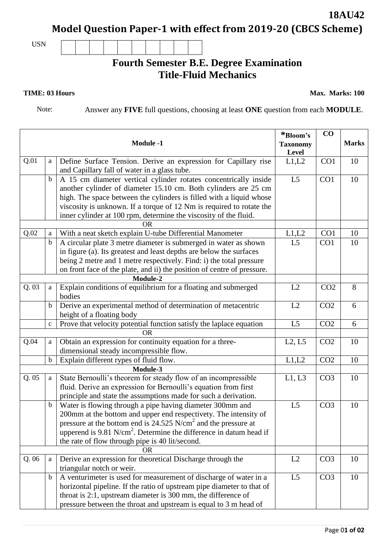## **Model Question Paper-1 with effect from 2019-20 (CBCS Scheme)**

USN

## **Fourth Semester B.E. Degree Examination Title-Fluid Mechanics**

**TIME: 03 Hours** Max. Marks: 100

**18AU42**

Note: Answer any **FIVE** full questions, choosing at least **ONE** question from each **MODULE**.

|          |             | <b>Module -1</b>                                                                                                                                                                                                                                                                                                                       | *Bloom's<br><b>Taxonomy</b><br>Level | $\bf CO$        | <b>Marks</b> |
|----------|-------------|----------------------------------------------------------------------------------------------------------------------------------------------------------------------------------------------------------------------------------------------------------------------------------------------------------------------------------------|--------------------------------------|-----------------|--------------|
| Q.01     | a           | Define Surface Tension. Derive an expression for Capillary rise                                                                                                                                                                                                                                                                        | L1,L2                                | CO <sub>1</sub> | 10           |
|          |             | and Capillary fall of water in a glass tube.                                                                                                                                                                                                                                                                                           |                                      |                 |              |
|          | $\mathbf b$ | A 15 cm diameter vertical cylinder rotates concentrically inside<br>another cylinder of diameter 15.10 cm. Both cylinders are 25 cm<br>high. The space between the cylinders is filled with a liquid whose<br>viscosity is unknown. If a torque of 12 Nm is required to rotate the                                                     | L5                                   | CO <sub>1</sub> | 10           |
|          |             | inner cylinder at 100 rpm, determine the viscosity of the fluid.                                                                                                                                                                                                                                                                       |                                      |                 |              |
|          |             | <b>OR</b>                                                                                                                                                                                                                                                                                                                              |                                      |                 |              |
| Q.02     | a           | With a neat sketch explain U-tube Differential Manometer                                                                                                                                                                                                                                                                               | L1,L2                                | CO <sub>1</sub> | 10           |
|          | $\mathbf b$ | A circular plate 3 metre diameter is submerged in water as shown<br>in figure (a). Its greatest and least depths are below the surfaces<br>being 2 metre and 1 metre respectively. Find: i) the total pressure<br>on front face of the plate, and ii) the position of centre of pressure.                                              | L <sub>5</sub>                       | CO <sub>1</sub> | 10           |
|          |             | Module-2                                                                                                                                                                                                                                                                                                                               |                                      |                 |              |
| Q.03     | a           | Explain conditions of equilibrium for a floating and submerged<br>bodies                                                                                                                                                                                                                                                               | L2                                   | CO <sub>2</sub> | 8            |
|          | b           | Derive an experimental method of determination of metacentric<br>height of a floating body                                                                                                                                                                                                                                             | L2                                   | CO <sub>2</sub> | 6            |
|          | $\mathbf c$ | Prove that velocity potential function satisfy the laplace equation                                                                                                                                                                                                                                                                    | L <sub>5</sub>                       | CO <sub>2</sub> | 6            |
|          |             | <b>OR</b>                                                                                                                                                                                                                                                                                                                              |                                      |                 |              |
| Q.04     | a           | Obtain an expression for continuity equation for a three-<br>dimensional steady incompressible flow.                                                                                                                                                                                                                                   | L2, L5                               | CO <sub>2</sub> | 10           |
|          | b           | Explain different rypes of fluid flow.                                                                                                                                                                                                                                                                                                 | L1,L2                                | CO <sub>2</sub> | 10           |
| Module-3 |             |                                                                                                                                                                                                                                                                                                                                        |                                      |                 |              |
| Q.05     | a           | State Bernoulli's theorem for steady flow of an incompressible<br>fluid. Derive an expression for Bernoulli's equation from first<br>principle and state the assumptions made for such a derivation.                                                                                                                                   | L1, L3                               | CO <sub>3</sub> | 10           |
|          | $\mathbf b$ | Water is flowing through a pipe having diameter 300mm and<br>200mm at the bottom and upper end respectivety. The intensity of<br>pressure at the bottom end is 24.525 N/cm <sup>2</sup> and the pressure at<br>upperend is 9.81 $N/cm2$ . Determine the difference in datum head if<br>the rate of flow through pipe is 40 lit/second. | L <sub>5</sub>                       | CO <sub>3</sub> | 10           |
|          |             | <b>OR</b>                                                                                                                                                                                                                                                                                                                              |                                      |                 |              |
| Q.06     | a           | Derive an expression for theoretical Discharge through the<br>triangular notch or weir.                                                                                                                                                                                                                                                | L2                                   | CO <sub>3</sub> | 10           |
|          | $\mathbf b$ | A venturimeter is used for measurement of discharge of water in a<br>horizontal pipeline. If the ratio of upstream pipe diameter to that of<br>throat is 2:1, upstream diameter is 300 mm, the difference of<br>pressure between the throat and upstream is equal to 3 m head of                                                       | L <sub>5</sub>                       | CO <sub>3</sub> | 10           |